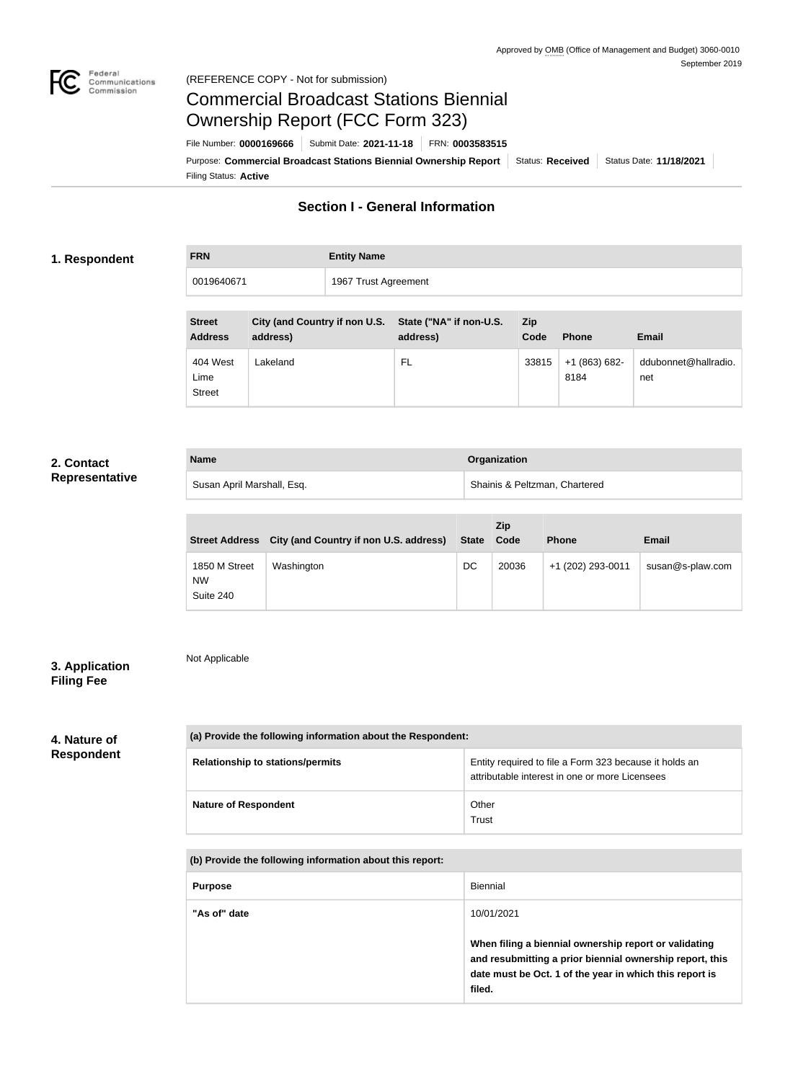

### Federal<br>Communications<br>Commission (REFERENCE COPY - Not for submission)

# Commercial Broadcast Stations Biennial Ownership Report (FCC Form 323)

Filing Status: **Active** Purpose: Commercial Broadcast Stations Biennial Ownership Report Status: Received Status Date: 11/18/2021 File Number: **0000169666** Submit Date: **2021-11-18** FRN: **0003583515**

# **Section I - General Information**

## **1. Respondent**

| <b>FRN</b> | <b>Entity Name</b>   |  |
|------------|----------------------|--|
| 0019640671 | 1967 Trust Agreement |  |

| <b>Street</b><br><b>Address</b>   | City (and Country if non U.S. State ("NA" if non-U.S.<br>address) | address) | <b>Zip</b><br>Code | <b>Phone</b>          | <b>Email</b>                |
|-----------------------------------|-------------------------------------------------------------------|----------|--------------------|-----------------------|-----------------------------|
| 404 West<br>Lime<br><b>Street</b> | Lakeland                                                          | FL       | 33815              | $+1(863)682-$<br>8184 | ddubonnet@hallradio.<br>net |

## **2. Contact Representative**

| <b>Name</b>                | Organization                  |
|----------------------------|-------------------------------|
| Susan April Marshall, Esq. | Shainis & Peltzman, Chartered |

|                                         | Street Address City (and Country if non U.S. address) | <b>State</b> | Zip<br>Code | <b>Phone</b>      | <b>Email</b>     |
|-----------------------------------------|-------------------------------------------------------|--------------|-------------|-------------------|------------------|
| 1850 M Street<br><b>NW</b><br>Suite 240 | Washington                                            | DC           | 20036       | +1 (202) 293-0011 | susan@s-plaw.com |

# **3. Application Filing Fee**

Not Applicable

# **4. Nature of**

# **Respondent**

| (a) Provide the following information about the Respondent: |                                                                                                          |  |  |
|-------------------------------------------------------------|----------------------------------------------------------------------------------------------------------|--|--|
| <b>Relationship to stations/permits</b>                     | Entity required to file a Form 323 because it holds an<br>attributable interest in one or more Licensees |  |  |
| <b>Nature of Respondent</b>                                 | Other<br>Trust                                                                                           |  |  |

#### **(b) Provide the following information about this report:**

| <b>Purpose</b> | Biennial                                                                                                                                                                               |
|----------------|----------------------------------------------------------------------------------------------------------------------------------------------------------------------------------------|
| "As of" date   | 10/01/2021                                                                                                                                                                             |
|                | When filing a biennial ownership report or validating<br>and resubmitting a prior biennial ownership report, this<br>date must be Oct. 1 of the year in which this report is<br>filed. |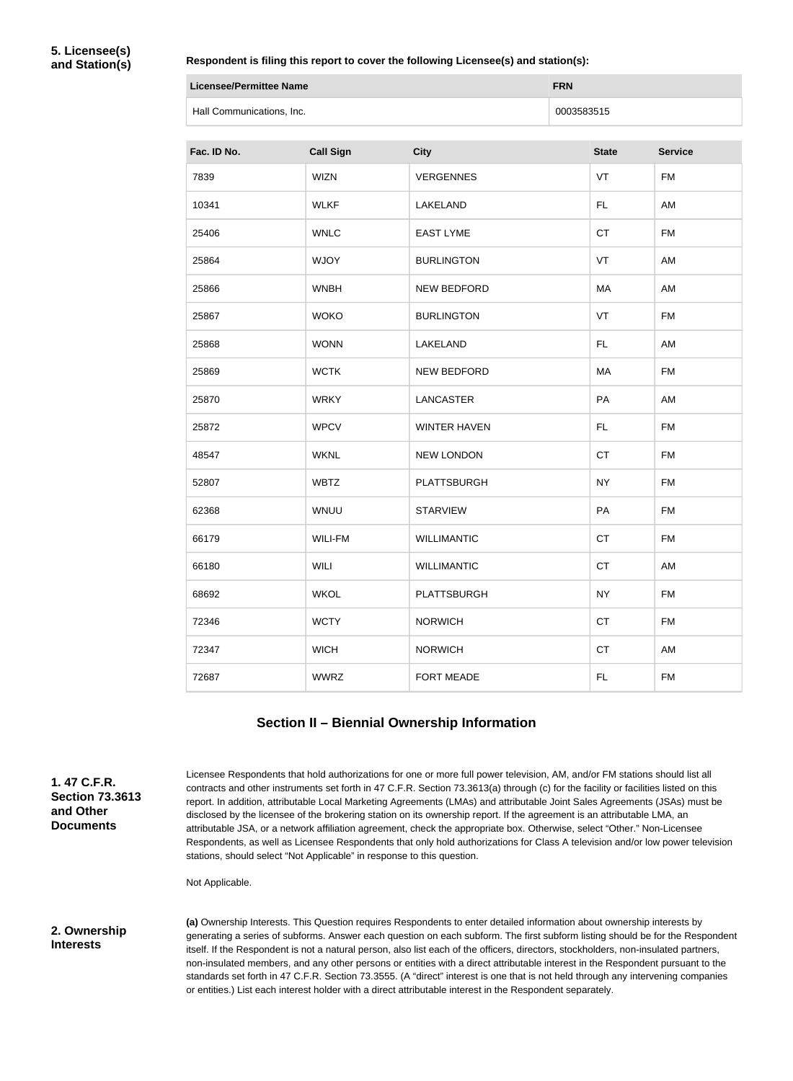#### **Respondent is filing this report to cover the following Licensee(s) and station(s):**

| Licensee/Permittee Name   | <b>FRN</b> |
|---------------------------|------------|
| Hall Communications, Inc. | 0003583515 |

| Fac. ID No. | <b>Call Sign</b> | <b>City</b>         | <b>State</b> | <b>Service</b> |
|-------------|------------------|---------------------|--------------|----------------|
| 7839        | <b>WIZN</b>      | <b>VERGENNES</b>    | VT           | <b>FM</b>      |
| 10341       | <b>WLKF</b>      | LAKELAND            | FL.          | AM             |
| 25406       | <b>WNLC</b>      | <b>EAST LYME</b>    | CT           | <b>FM</b>      |
| 25864       | <b>WJOY</b>      | <b>BURLINGTON</b>   | VT           | AM             |
| 25866       | <b>WNBH</b>      | NEW BEDFORD         | MA           | AM             |
| 25867       | <b>WOKO</b>      | <b>BURLINGTON</b>   | VT           | <b>FM</b>      |
| 25868       | <b>WONN</b>      | LAKELAND            | <b>FL</b>    | AM             |
| 25869       | <b>WCTK</b>      | NEW BEDFORD         | МA           | <b>FM</b>      |
| 25870       | <b>WRKY</b>      | <b>LANCASTER</b>    | PA           | AM             |
| 25872       | <b>WPCV</b>      | <b>WINTER HAVEN</b> | FL.          | <b>FM</b>      |
| 48547       | <b>WKNL</b>      | <b>NEW LONDON</b>   | <b>CT</b>    | <b>FM</b>      |
| 52807       | <b>WBTZ</b>      | <b>PLATTSBURGH</b>  | <b>NY</b>    | <b>FM</b>      |
| 62368       | <b>WNUU</b>      | <b>STARVIEW</b>     | PA           | <b>FM</b>      |
| 66179       | <b>WILI-FM</b>   | <b>WILLIMANTIC</b>  | CT           | <b>FM</b>      |
| 66180       | <b>WILI</b>      | <b>WILLIMANTIC</b>  | CT           | AM             |
| 68692       | <b>WKOL</b>      | PLATTSBURGH         | <b>NY</b>    | <b>FM</b>      |
| 72346       | <b>WCTY</b>      | <b>NORWICH</b>      | CT           | <b>FM</b>      |
| 72347       | <b>WICH</b>      | <b>NORWICH</b>      | <b>CT</b>    | AM             |
| 72687       | <b>WWRZ</b>      | FORT MEADE          | FL           | <b>FM</b>      |

#### **Section II – Biennial Ownership Information**

**1. 47 C.F.R. Section 73.3613 and Other Documents**

Licensee Respondents that hold authorizations for one or more full power television, AM, and/or FM stations should list all contracts and other instruments set forth in 47 C.F.R. Section 73.3613(a) through (c) for the facility or facilities listed on this report. In addition, attributable Local Marketing Agreements (LMAs) and attributable Joint Sales Agreements (JSAs) must be disclosed by the licensee of the brokering station on its ownership report. If the agreement is an attributable LMA, an attributable JSA, or a network affiliation agreement, check the appropriate box. Otherwise, select "Other." Non-Licensee Respondents, as well as Licensee Respondents that only hold authorizations for Class A television and/or low power television stations, should select "Not Applicable" in response to this question.

Not Applicable.

#### **2. Ownership Interests**

**(a)** Ownership Interests. This Question requires Respondents to enter detailed information about ownership interests by generating a series of subforms. Answer each question on each subform. The first subform listing should be for the Respondent itself. If the Respondent is not a natural person, also list each of the officers, directors, stockholders, non-insulated partners, non-insulated members, and any other persons or entities with a direct attributable interest in the Respondent pursuant to the standards set forth in 47 C.F.R. Section 73.3555. (A "direct" interest is one that is not held through any intervening companies or entities.) List each interest holder with a direct attributable interest in the Respondent separately.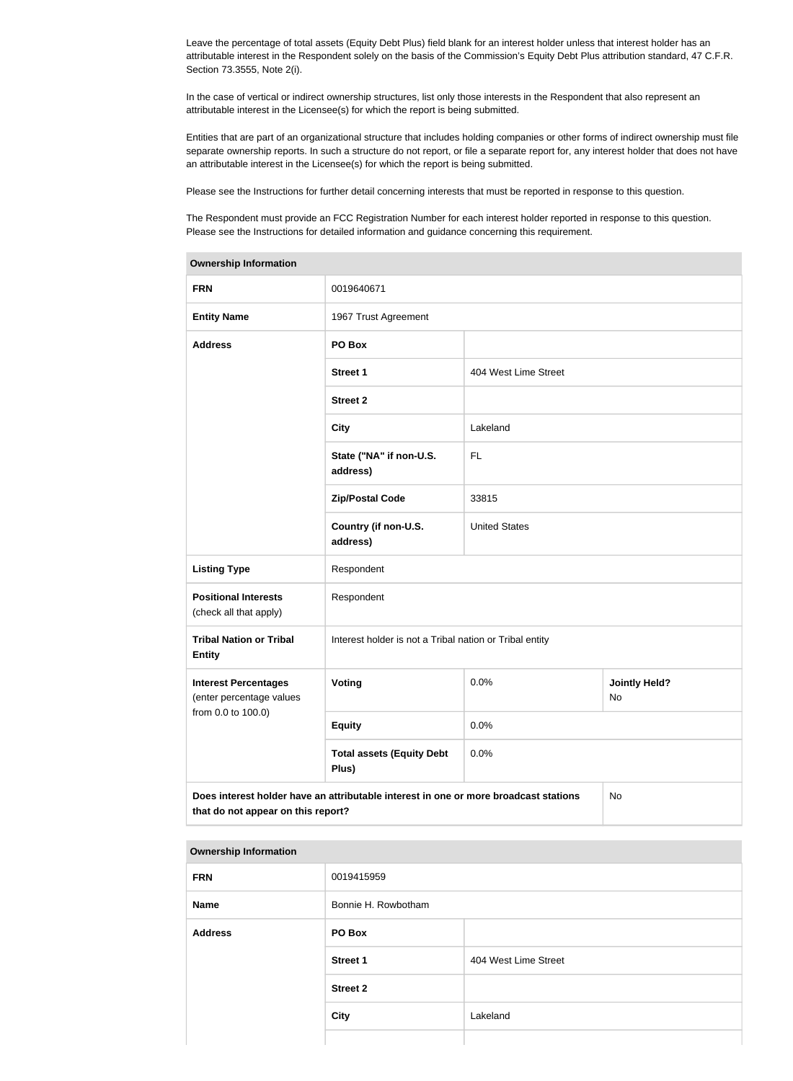Leave the percentage of total assets (Equity Debt Plus) field blank for an interest holder unless that interest holder has an attributable interest in the Respondent solely on the basis of the Commission's Equity Debt Plus attribution standard, 47 C.F.R. Section 73.3555, Note 2(i).

In the case of vertical or indirect ownership structures, list only those interests in the Respondent that also represent an attributable interest in the Licensee(s) for which the report is being submitted.

Entities that are part of an organizational structure that includes holding companies or other forms of indirect ownership must file separate ownership reports. In such a structure do not report, or file a separate report for, any interest holder that does not have an attributable interest in the Licensee(s) for which the report is being submitted.

Please see the Instructions for further detail concerning interests that must be reported in response to this question.

The Respondent must provide an FCC Registration Number for each interest holder reported in response to this question. Please see the Instructions for detailed information and guidance concerning this requirement.

| Ownership information                                                                                                            |                                                         |                      |  |  |
|----------------------------------------------------------------------------------------------------------------------------------|---------------------------------------------------------|----------------------|--|--|
| <b>FRN</b>                                                                                                                       | 0019640671                                              |                      |  |  |
| <b>Entity Name</b>                                                                                                               | 1967 Trust Agreement                                    |                      |  |  |
| <b>Address</b>                                                                                                                   | PO Box                                                  |                      |  |  |
|                                                                                                                                  | <b>Street 1</b>                                         | 404 West Lime Street |  |  |
|                                                                                                                                  | <b>Street 2</b>                                         |                      |  |  |
|                                                                                                                                  | <b>City</b>                                             | Lakeland             |  |  |
|                                                                                                                                  | State ("NA" if non-U.S.<br>address)                     | <b>FL</b>            |  |  |
|                                                                                                                                  | <b>Zip/Postal Code</b>                                  | 33815                |  |  |
|                                                                                                                                  | Country (if non-U.S.<br>address)                        | <b>United States</b> |  |  |
| <b>Listing Type</b>                                                                                                              | Respondent                                              |                      |  |  |
| <b>Positional Interests</b><br>(check all that apply)                                                                            | Respondent                                              |                      |  |  |
| <b>Tribal Nation or Tribal</b><br><b>Entity</b>                                                                                  | Interest holder is not a Tribal nation or Tribal entity |                      |  |  |
| <b>Interest Percentages</b><br>(enter percentage values                                                                          | <b>Voting</b><br>0.0%<br><b>Jointly Held?</b><br>No     |                      |  |  |
| from 0.0 to 100.0)                                                                                                               | <b>Equity</b>                                           | 0.0%                 |  |  |
|                                                                                                                                  | <b>Total assets (Equity Debt</b><br>Plus)               | 0.0%                 |  |  |
| Does interest holder have an attributable interest in one or more broadcast stations<br>No<br>that do not appear on this report? |                                                         |                      |  |  |

#### **Ownership Information**

#### **Ownership Information**

| <b>FRN</b>     | 0019415959          |                      |  |
|----------------|---------------------|----------------------|--|
| <b>Name</b>    | Bonnie H. Rowbotham |                      |  |
| <b>Address</b> | PO Box              |                      |  |
|                | <b>Street 1</b>     | 404 West Lime Street |  |
|                | <b>Street 2</b>     |                      |  |
|                | <b>City</b>         | Lakeland             |  |
|                |                     |                      |  |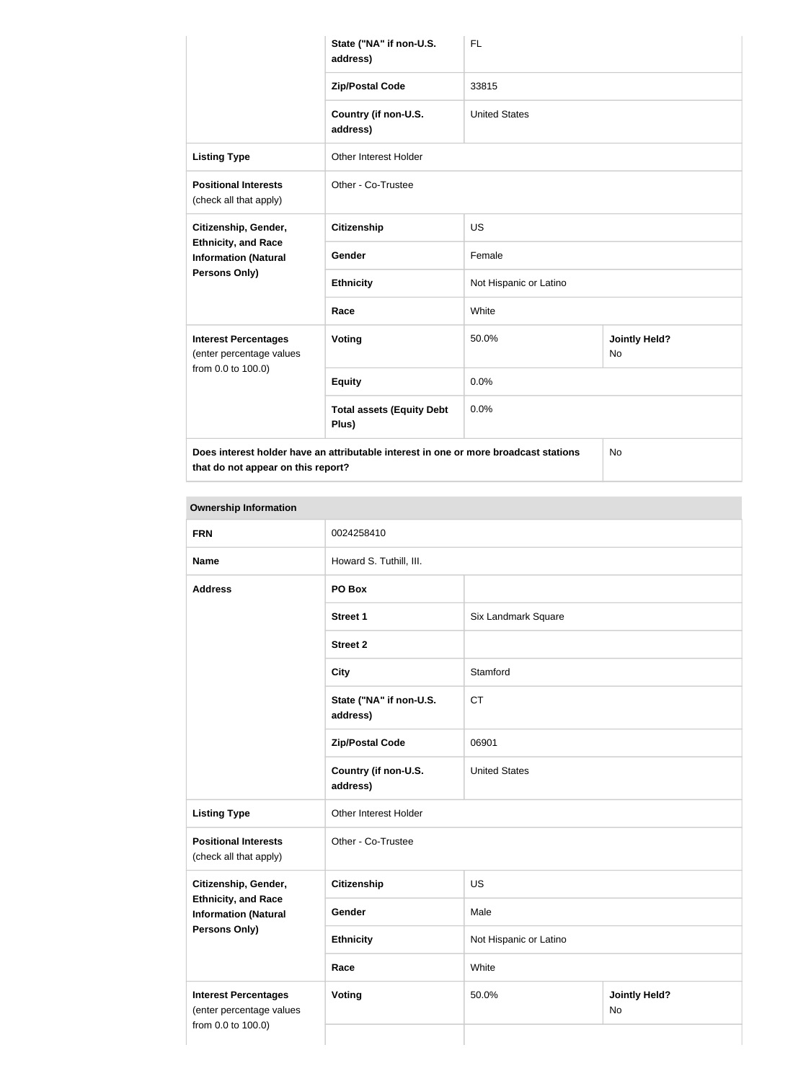|                                                                               | State ("NA" if non-U.S.<br>address)                                                  | <b>FL</b>              |                                   |  |
|-------------------------------------------------------------------------------|--------------------------------------------------------------------------------------|------------------------|-----------------------------------|--|
|                                                                               | <b>Zip/Postal Code</b>                                                               | 33815                  |                                   |  |
|                                                                               | Country (if non-U.S.<br>address)                                                     | <b>United States</b>   |                                   |  |
| <b>Listing Type</b>                                                           | Other Interest Holder                                                                |                        |                                   |  |
| <b>Positional Interests</b><br>(check all that apply)                         | Other - Co-Trustee                                                                   |                        |                                   |  |
| Citizenship, Gender,                                                          | <b>Citizenship</b>                                                                   | <b>US</b>              |                                   |  |
| <b>Ethnicity, and Race</b><br><b>Information (Natural</b>                     | Gender                                                                               | Female                 |                                   |  |
| <b>Persons Only)</b>                                                          | <b>Ethnicity</b>                                                                     | Not Hispanic or Latino |                                   |  |
|                                                                               | Race                                                                                 | White                  |                                   |  |
| <b>Interest Percentages</b><br>(enter percentage values<br>from 0.0 to 100.0) | Voting                                                                               | 50.0%                  | <b>Jointly Held?</b><br><b>No</b> |  |
|                                                                               | <b>Equity</b>                                                                        | 0.0%                   |                                   |  |
|                                                                               | <b>Total assets (Equity Debt</b><br>Plus)                                            | 0.0%                   |                                   |  |
|                                                                               | Does interest holder have an attributable interest in one or more broadcast stations |                        | No                                |  |

**that do not appear on this report?**

**Ownership Information FRN** 0024258410 **Name Howard S. Tuthill, III. Address PO Box Street 1** Six Landmark Square **Street 2 City** Stamford **State ("NA" if non-U.S. address)** CT **Zip/Postal Code** 06901 **Country (if non-U.S. address)** United States **Listing Type** Other Interest Holder **Positional Interests** (check all that apply) Other - Co-Trustee **Citizenship, Gender, Ethnicity, and Race Information (Natural Persons Only) Citizenship** US Gender Male **Ethnicity** Not Hispanic or Latino **Race** White **Interest Percentages** (enter percentage values from 0.0 to 100.0) **Voting** 50.0% **Jointly Held?** No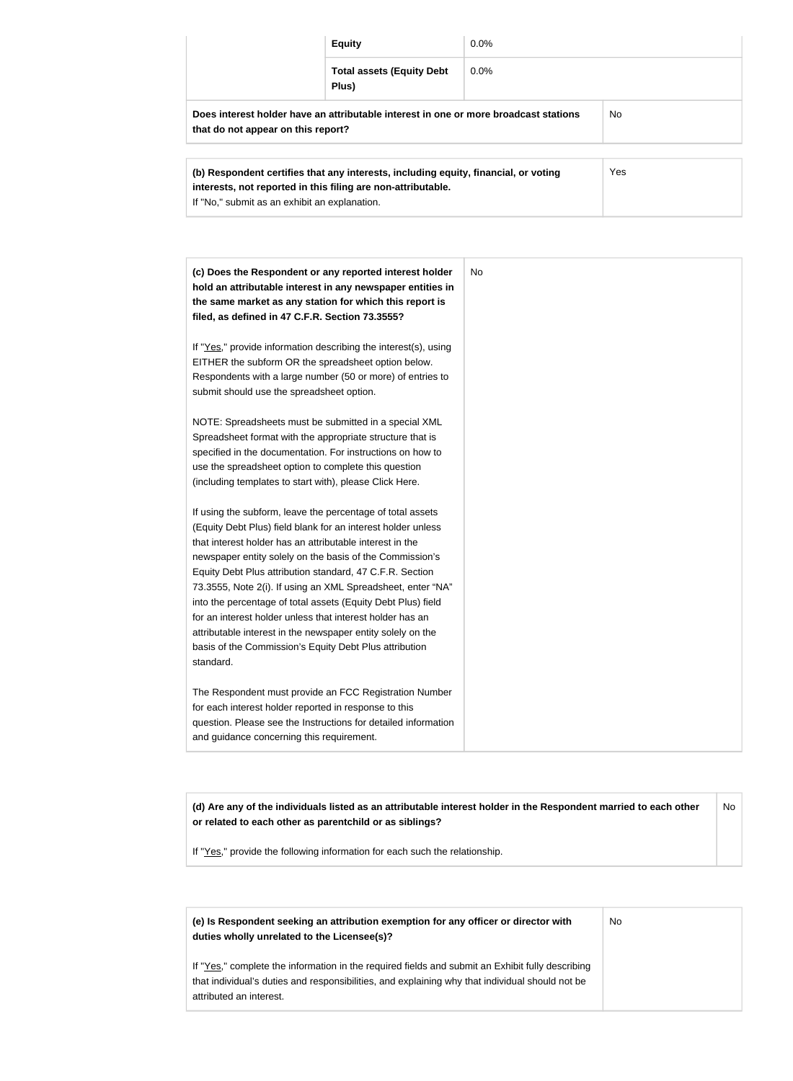| <b>Equity</b><br>$0.0\%$                                                                                                   |     |
|----------------------------------------------------------------------------------------------------------------------------|-----|
| <b>Total assets (Equity Debt</b><br>$0.0\%$<br>Plus)                                                                       |     |
| Does interest holder have an attributable interest in one or more broadcast stations<br>that do not appear on this report? | No. |

| (b) Respondent certifies that any interests, including equity, financial, or voting<br>interests, not reported in this filing are non-attributable. | Yes |
|-----------------------------------------------------------------------------------------------------------------------------------------------------|-----|
| If "No," submit as an exhibit an explanation.                                                                                                       |     |

| (c) Does the Respondent or any reported interest holder<br>hold an attributable interest in any newspaper entities in<br>the same market as any station for which this report is<br>filed, as defined in 47 C.F.R. Section 73.3555?                                                                                                                                                                                                                                                                                                                                                                                                              | N <sub>o</sub> |
|--------------------------------------------------------------------------------------------------------------------------------------------------------------------------------------------------------------------------------------------------------------------------------------------------------------------------------------------------------------------------------------------------------------------------------------------------------------------------------------------------------------------------------------------------------------------------------------------------------------------------------------------------|----------------|
| If "Yes," provide information describing the interest(s), using<br>EITHER the subform OR the spreadsheet option below.<br>Respondents with a large number (50 or more) of entries to<br>submit should use the spreadsheet option.                                                                                                                                                                                                                                                                                                                                                                                                                |                |
| NOTE: Spreadsheets must be submitted in a special XML<br>Spreadsheet format with the appropriate structure that is<br>specified in the documentation. For instructions on how to<br>use the spreadsheet option to complete this question<br>(including templates to start with), please Click Here.                                                                                                                                                                                                                                                                                                                                              |                |
| If using the subform, leave the percentage of total assets<br>(Equity Debt Plus) field blank for an interest holder unless<br>that interest holder has an attributable interest in the<br>newspaper entity solely on the basis of the Commission's<br>Equity Debt Plus attribution standard, 47 C.F.R. Section<br>73.3555, Note 2(i). If using an XML Spreadsheet, enter "NA"<br>into the percentage of total assets (Equity Debt Plus) field<br>for an interest holder unless that interest holder has an<br>attributable interest in the newspaper entity solely on the<br>basis of the Commission's Equity Debt Plus attribution<br>standard. |                |
| The Respondent must provide an FCC Registration Number<br>for each interest holder reported in response to this<br>question. Please see the Instructions for detailed information<br>and guidance concerning this requirement.                                                                                                                                                                                                                                                                                                                                                                                                                   |                |

**(d) Are any of the individuals listed as an attributable interest holder in the Respondent married to each other or related to each other as parentchild or as siblings?** No

If "Yes," provide the following information for each such the relationship.

| (e) Is Respondent seeking an attribution exemption for any officer or director with<br>duties wholly unrelated to the Licensee(s)?                                                                                             | No. |
|--------------------------------------------------------------------------------------------------------------------------------------------------------------------------------------------------------------------------------|-----|
| If "Yes," complete the information in the required fields and submit an Exhibit fully describing<br>that individual's duties and responsibilities, and explaining why that individual should not be<br>attributed an interest. |     |